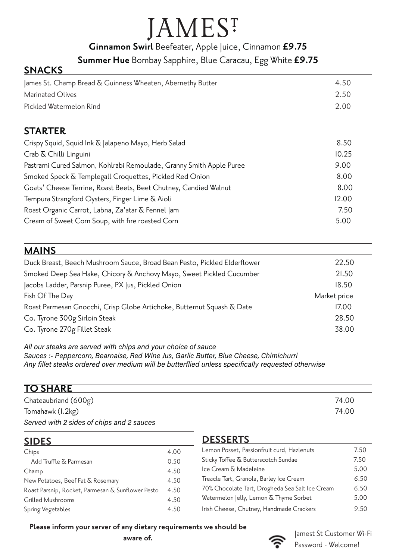## **JAMES**<sup>T</sup>

**Ginnamon Swirl** Beefeater, Apple Juice, Cinnamon **£9.75**

**Summer Hue** Bombay Sapphire, Blue Caracau, Egg White **£9.75**

### **SNACKS**

| ames St. Champ Bread & Guinness Wheaten, Abernethy Butter | 4.50 |
|-----------------------------------------------------------|------|
| Marinated Olives                                          | 2.50 |
| Pickled Watermelon Rind                                   | 2.00 |

#### **STARTER**

| Crispy Squid, Squid Ink & Jalapeno Mayo, Herb Salad                 | 8.50  |
|---------------------------------------------------------------------|-------|
| Crab & Chilli Linguini                                              | 10.25 |
| Pastrami Cured Salmon, Kohlrabi Remoulade, Granny Smith Apple Puree | 9.00  |
| Smoked Speck & Templegall Croquettes, Pickled Red Onion             | 8.00  |
| Goats' Cheese Terrine, Roast Beets, Beet Chutney, Candied Walnut    | 8.00  |
| Tempura Strangford Oysters, Finger Lime & Aioli                     | 12.00 |
| Roast Organic Carrot, Labna, Za'atar & Fennel Jam                   | 7.50  |
| Cream of Sweet Corn Soup, with fire roasted Corn                    | 5.00  |
|                                                                     |       |

#### **MAINS**

| Duck Breast, Beech Mushroom Sauce, Broad Bean Pesto, Pickled Elderflower | 22.50        |
|--------------------------------------------------------------------------|--------------|
| Smoked Deep Sea Hake, Chicory & Anchovy Mayo, Sweet Pickled Cucumber     | 21.50        |
| Jacobs Ladder, Parsnip Puree, PX Jus, Pickled Onion                      | 18.50        |
| Fish Of The Day                                                          | Market price |
| Roast Parmesan Gnocchi, Crisp Globe Artichoke, Butternut Squash & Date   | 17.00        |
| Co. Tyrone 300g Sirloin Steak                                            | 28.50        |
| Co. Tyrone 270g Fillet Steak                                             | 38.00        |

All our steaks are served with chips and your choice of sauce Sauces :- Peppercorn, Bearnaise, Red Wine Jus, Garlic Butter, Blue Cheese, Chimichurri Any fillet steaks ordered over medium will be butterflied unless specifically requested otherwise

#### **TO SHARE**

| Chateaubriand $(600g)$                    | 74.00 |
|-------------------------------------------|-------|
| Tomahawk (I.2kg)                          | 74.00 |
| Served with 2 sides of chips and 2 sauces |       |

#### **SIDES**

| Chips                                             | 4.00 |
|---------------------------------------------------|------|
| Add Truffle & Parmesan                            | 0.50 |
| Champ                                             | 4.50 |
| New Potatoes, Beef Fat & Rosemary                 | 4.50 |
| Roast Parsnip, Rocket, Parmesan & Sunflower Pesto | 4.50 |
| <b>Grilled Mushrooms</b>                          | 4.50 |
| Spring Vegetables                                 | 4.50 |
|                                                   |      |

#### **DESSERTS**

| Lemon Posset, Passionfruit curd, Hazlenuts      | 7.50 |
|-------------------------------------------------|------|
| Sticky Toffee & Butterscotch Sundae             | 7.50 |
| Ice Cream & Madeleine                           | 5.00 |
| Treacle Tart, Granola, Barley Ice Cream         | 6.50 |
| 70% Chocolate Tart, Drogheda Sea Salt Ice Cream | 6.50 |
| Watermelon Jelly, Lemon & Thyme Sorbet          | 5.00 |
| Irish Cheese, Chutney, Handmade Crackers        | 9.50 |

#### **Please inform your server of any dietary requirements we should be**

**aware of.**